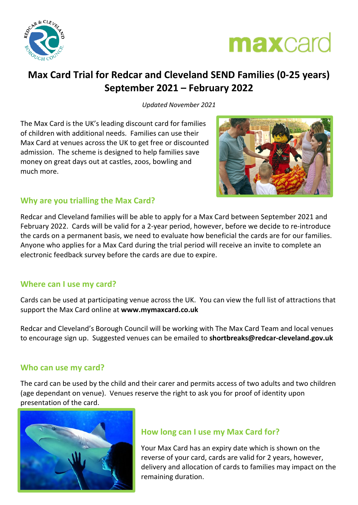



## **Max Card Trial for Redcar and Cleveland SEND Families (0-25 years) September 2021 – February 2022**

*Updated November 2021*

The Max Card is the UK's leading discount card for families of children with additional needs. Families can use their Max Card at venues across the UK to get free or discounted admission. The scheme is designed to help families save money on great days out at castles, zoos, bowling and much more.



#### **Why are you trialling the Max Card?**

Redcar and Cleveland families will be able to apply for a Max Card between September 2021 and February 2022. Cards will be valid for a 2-year period, however, before we decide to re-introduce the cards on a permanent basis, we need to evaluate how beneficial the cards are for our families. Anyone who applies for a Max Card during the trial period will receive an invite to complete an electronic feedback survey before the cards are due to expire.

#### **Where can I use my card?**

Cards can be used at participating venue across the UK. You can view the full list of attractions that support the Max Card online at **[www.mymaxcard.co.uk](http://www.mymaxcard.co.uk/)**

Redcar and Cleveland's Borough Council will be working with The Max Card Team and local venues to encourage sign up. Suggested venues can be emailed to **shortbreaks@redcar-cleveland.gov.uk**

#### **Who can use my card?**

The card can be used by the child and their carer and permits access of two adults and two children (age dependant on venue). Venues reserve the right to ask you for proof of identity upon presentation of the card.



#### **How long can I use my Max Card for?**

Your Max Card has an expiry date which is shown on the reverse of your card, cards are valid for 2 years, however, delivery and allocation of cards to families may impact on the remaining duration.